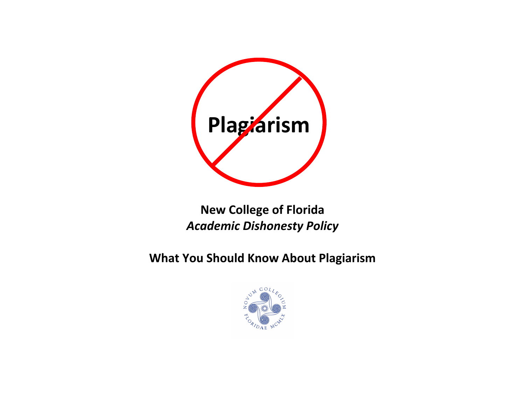

# **New College of Florida** *Academic Dishonesty Policy*

**What You Should Know About Plagiarism**

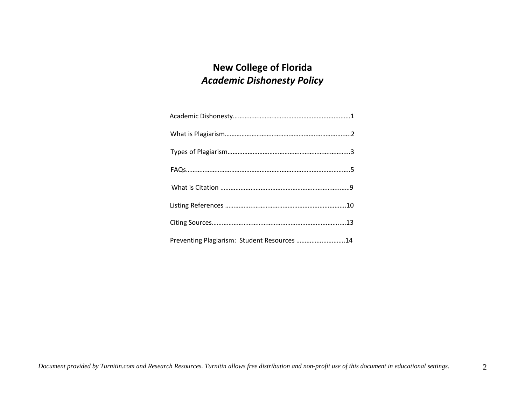# **New College of Florida** *Academic Dishonesty Policy*

| Preventing Plagiarism: Student Resources 14 |  |
|---------------------------------------------|--|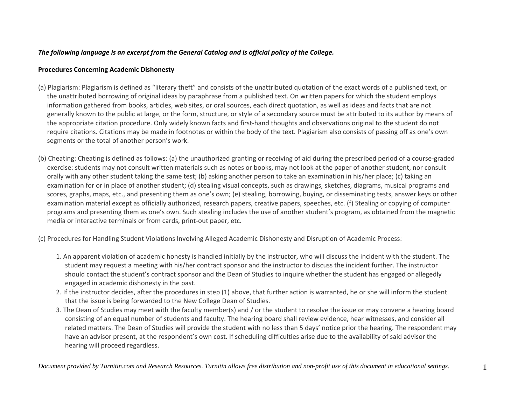## *The following language is an excerpt from the General Catalog and is official policy of the College.*

## **Procedures Concerning Academic Dishonesty**

- (a) Plagiarism: Plagiarism is defined as "literary theft" and consists of the unattributed quotation of the exact words of <sup>a</sup> published text, or the unattributed borrowing of original ideas by paraphrase from <sup>a</sup> published text. On written papers for which the student employs information gathered from books, articles, web sites, or oral sources, each direct quotation, as well as ideas and facts that are not generally known to the public at large, or the form, structure, or style of <sup>a</sup> secondary source must be attributed to its author by means of the appropriate citation procedure. Only widely known facts and first‐hand thoughts and observations original to the student do not require citations. Citations may be made in footnotes or within the body of the text. Plagiarism also consists of passing off as one's own segments or the total of another person's work.
- (b) Cheating: Cheating is defined as follows: (a) the unauthorized granting or receiving of aid during the prescribed period of <sup>a</sup> course‐graded exercise: students may not consult written materials such as notes or books, may not look at the paper of another student, nor consult orally with any other student taking the same test; (b) asking another person to take an examination in his/her place; (c) taking an examination for or in place of another student; (d) stealing visual concepts, such as drawings, sketches, diagrams, musical programs and scores, graphs, maps, etc., and presenting them as one's own; (e) stealing, borrowing, buying, or disseminating tests, answer keys or other examination material except as officially authorized, research papers, creative papers, speeches, etc. (f) Stealing or copying of computer programs and presenting them as one's own. Such stealing includes the use of another student's program, as obtained from the magnetic media or interactive terminals or from cards, print‐out paper, etc.

(c) Procedures for Handling Student Violations Involving Alleged Academic Dishonesty and Disruption of Academic Process:

- 1. An apparent violation of academic honesty is handled initially by the instructor, who will discuss the incident with the student. The student may request <sup>a</sup> meeting with his/her contract sponsor and the instructor to discuss the incident further. The instructor should contact the student's contract sponsor and the Dean of Studies to inquire whether the student has engaged or allegedly engaged in academic dishonesty in the past.
- 2. If the instructor decides, after the procedures in step (1) above, that further action is warranted, he or she will inform the student that the issue is being forwarded to the New College Dean of Studies.
- 3. The Dean of Studies may meet with the faculty member(s) and / or the student to resolve the issue or may convene <sup>a</sup> hearing board consisting of an equal number of students and faculty. The hearing board shall review evidence, hear witnesses, and consider all related matters. The Dean of Studies will provide the student with no less than 5 days' notice prior the hearing. The respondent may have an advisor present, at the respondent's own cost. If scheduling difficulties arise due to the availability of said advisor the hearing will proceed regardless.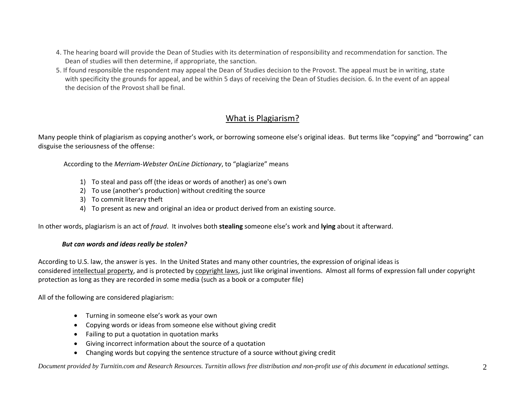- 4. The hearing board will provide the Dean of Studies with its determination of responsibility and recommendation for sanction. The Dean of studies will then determine, if appropriate, the sanction.
- 5. If found responsible the respondent may appeal the Dean of Studies decision to the Provost. The appeal must be in writing, state with specificity the grounds for appeal, and be within 5 days of receiving the Dean of Studies decision. 6. In the event of an appeal the decision of the Provost shall be final.

# What is Plagiarism?

Many people think of plagiarism as copying another's work, or borrowing someone else's original ideas. But terms like "copying" and "borrowing" can disguise the seriousness of the offense:

According to the *Merriam‐Webster OnLine Dictionary*, to "plagiarize" means

- 1) To steal and pass off (the ideas or words of another) as one's own
- 2) To use (another's production) without crediting the source
- 3) To commit literary theft
- 4) To present as new and original an idea or product derived from an existing source.

In other words, plagiarism is an act of *fraud*. It involves both **stealing** someone else's work and **lying** about it afterward.

#### *But can words and ideas really be stolen?*

According to U.S. law, the answer is yes. In the United States and many other countries, the expression of original ideas is considered <u>intellectual property</u>, and is protected by copyright laws, just like original inventions. Almost all forms of expression fall under copyright protection as long as they are recorded in some media (such as <sup>a</sup> book or <sup>a</sup> computer file)

All of the following are considered plagiarism:

- Turning in someone else's work as your own
- Copying words or ideas from someone else without giving credit
- Failing to put <sup>a</sup> quotation in quotation marks
- Giving incorrect information about the source of <sup>a</sup> quotation
- 0 Changing words but copying the sentence structure of <sup>a</sup> source without giving credit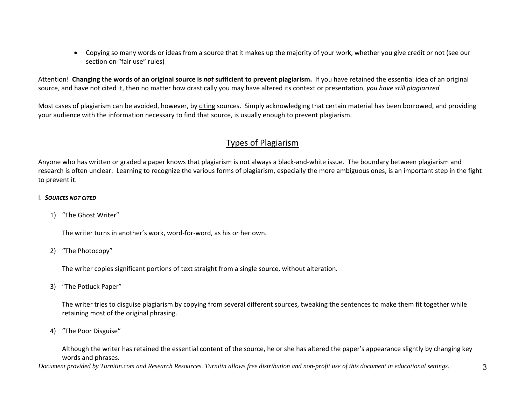$\bullet$  Copying so many words or ideas from <sup>a</sup> source that it makes up the majority of your work, whether you give credit or not (see our section on "fair use" rules)

Attention! Changing the words of an original source is not sufficient to prevent plagiarism. If you have retained the essential idea of an original source, and have not cited it, then no matter how drastically you may have altered its context or presentation, *you have still plagiarized*

Most cases of plagiarism can be avoided, however, by <u>citing</u> sources. Simply acknowledging that certain material has been borrowed, and providing your audience with the information necessary to find that source, is usually enough to prevent plagiarism.

# Types of Plagiarism

Anyone who has written or graded <sup>a</sup> paper knows that plagiarism is not always <sup>a</sup> black‐and‐white issue. The boundary between plagiarism and research is often unclear. Learning to recognize the various forms of plagiarism, especially the more ambiguous ones, is an important step in the fight to prevent it.

## I. *SOURCES NOT CITED*

1) "The Ghost Writer"

The writer turns in another's work, word‐for‐word, as his or her own.

2) "The Photocopy"

The writer copies significant portions of text straight from <sup>a</sup> single source, without alteration.

3) "The Potluck Paper"

The writer tries to disguise plagiarism by copying from several different sources, tweaking the sentences to make them fit together while retaining most of the original phrasing.

4) "The Poor Disguise"

Although the writer has retained the essential content of the source, he or she has altered the paper's appearance slightly by changing key words and phrases.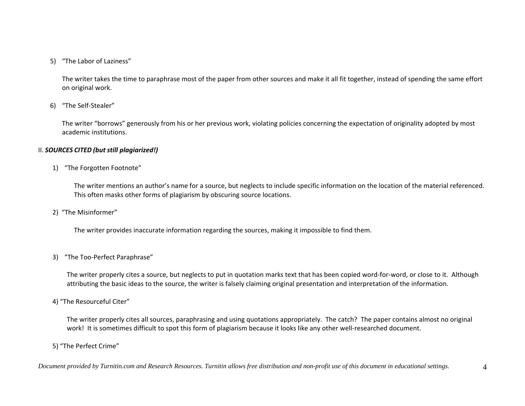## 5) "The Labor of Laziness"

The writer takes the time to paraphrase most of the paper from other sources and make it all fit together, instead of spending the same effort on original work.

## 6) "The Self‐Stealer"

The writer "borrows" generously from his or her previous work, violating policies concerning the expectation of originality adopted by most academic institutions.

#### II. *SOURCES CITED (but still plagiarized!)*

#### 1) "The Forgotten Footnote"

The writer mentions an author's name for <sup>a</sup> source, but neglects to include specific information on the location of the material referenced. This often masks other forms of plagiarism by obscuring source locations.

#### 2) "The Misinformer"

The writer provides inaccurate information regarding the sources, making it impossible to find them.

#### 3) "The Too‐Perfect Paraphrase"

The writer properly cites <sup>a</sup> source, but neglects to put in quotation marks text that has been copied word‐for‐word, or close to it. Although attributing the basic ideas to the source, the writer is falsely claiming original presentation and interpretation of the information.

#### 4) "The Resourceful Citer"

The writer properly cites all sources, paraphrasing and using quotations appropriately. The catch? The paper contains almost no original work! It is sometimes difficult to spot this form of plagiarism because it looks like any other well‐researched document.

## 5) "The Perfect Crime"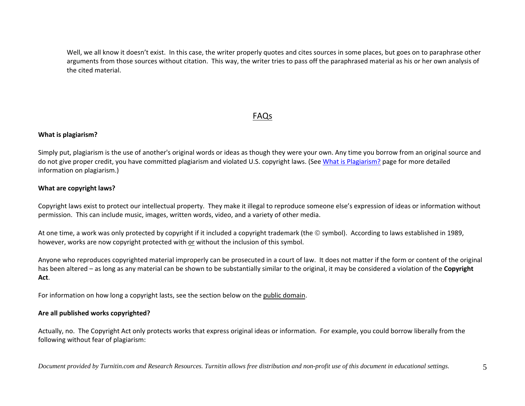Well, we all know it doesn't exist. In this case, the writer properly quotes and cites sources in some places, but goes on to paraphrase other arguments from those sources without citation. This way, the writer tries to pass off the paraphrased material as his or her own analysis of the cited material.

# FAQs

## **What is plagiarism?**

Simply put, plagiarism is the use of another's original words or ideas as though they were your own. Any time you borrow from an original source and do not give proper credit, you have committed plagiarism and violated U.S. copyright laws. (See <u>What is Plagiarism?</u> page for more detailed information on plagiarism.)

## **What are copyright laws?**

Copyright laws exist to protect our intellectual property. They make it illegal to reproduce someone else's expression of ideas or information without permission. This can include music, images, written words, video, and <sup>a</sup> variety of other media.

At one time, a work was only protected by copyright if it included a copyright trademark (the © symbol). According to laws established in 1989, however, works are now copyright protected with or without the inclusion of this symbol.

Anyone who reproduces copyrighted material improperly can be prosecuted in <sup>a</sup> court of law. It does not matter if the form or content of the original has been altered – as long as any material can be shown to be substantially similar to the original, it may be considered <sup>a</sup> violation of the **Copyright Act**.

For information on how long a copyright lasts, see the section below on the <u>public domain</u>.

#### **Are all published works copyrighted?**

Actually, no. The Copyright Act only protects works that express original ideas or information. For example, you could borrow liberally from the following without fear of plagiarism: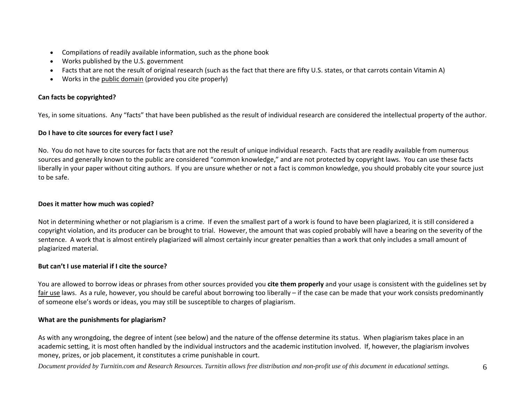- Compilations of readily available information, such as the phone book
- Works published by the U.S. government
- Facts that are not the result of original research (such as the fact that there are fifty U.S. states, or that carrots contain Vitamin A)
- Works in the public domain (provided you cite properly)

## **Can facts be copyrighted?**

Yes, in some situations. Any "facts" that have been published as the result of individual research are considered the intellectual property of the author.

## **Do I have to cite sources for every fact I use?**

No. You do not have to cite sources for facts that are not the result of unique individual research. Facts that are readily available from numerous sources and generally known to the public are considered "common knowledge," and are not protected by copyright laws. You can use these facts liberally in your paper without citing authors. If you are unsure whether or not <sup>a</sup> fact is common knowledge, you should probably cite your source just to be safe.

#### **Does it matter how much was copied?**

Not in determining whether or not plagiarism is <sup>a</sup> crime. If even the smallest part of <sup>a</sup> work is found to have been plagiarized, it is still considered <sup>a</sup> copyright violation, and its producer can be brought to trial. However, the amount that was copied probably will have <sup>a</sup> bearing on the severity of the sentence. A work that is almost entirely plagiarized will almost certainly incur greater penalties than <sup>a</sup> work that only includes <sup>a</sup> small amount of plagiarized material.

#### **But can't I use material if I cite the source?**

You are allowed to borrow ideas or phrases from other sources provided you **cite them properly** and your usage is consistent with the guidelines set by <u>fair use</u> laws. As a rule, however, you should be careful about borrowing too liberally – if the case can be made that your work consists predominantly of someone else's words or ideas, you may still be susceptible to charges of plagiarism.

## **What are the punishments for plagiarism?**

As with any wrongdoing, the degree of intent (see below) and the nature of the offense determine its status. When plagiarism takes place in an academic setting, it is most often handled by the individual instructors and the academic institution involved. If, however, the plagiarism involves money, prizes, or job placement, it constitutes <sup>a</sup> crime punishable in court.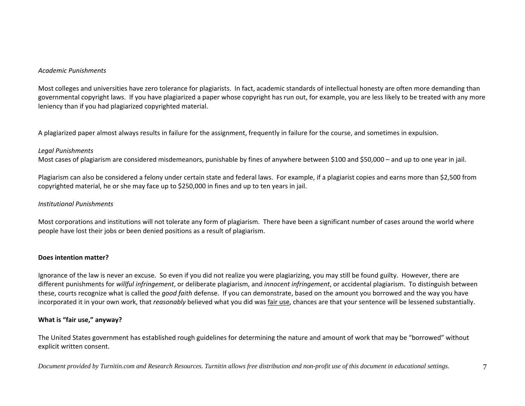#### *Academic Punishments*

Most colleges and universities have zero tolerance for plagiarists. In fact, academic standards of intellectual honesty are often more demanding than governmental copyright laws. If you have plagiarized <sup>a</sup> paper whose copyright has run out, for example, you are less likely to be treated with any more leniency than if you had plagiarized copyrighted material.

A plagiarized paper almost always results in failure for the assignment, frequently in failure for the course, and sometimes in expulsion.

#### *Legal Punishments*

Most cases of plagiarism are considered misdemeanors, punishable by fines of anywhere between \$100 and \$50,000 – and up to one year in jail.

Plagiarism can also be considered <sup>a</sup> felony under certain state and federal laws. For example, if <sup>a</sup> plagiarist copies and earns more than \$2,500 from copyrighted material, he or she may face up to \$250,000 in fines and up to ten years in jail.

#### *Institutional Punishments*

Most corporations and institutions will not tolerate any form of plagiarism. There have been <sup>a</sup> significant number of cases around the world where people have lost their jobs or been denied positions as <sup>a</sup> result of plagiarism.

## **Does intention matter?**

Ignorance of the law is never an excuse. So even if you did not realize you were plagiarizing, you may still be found guilty. However, there are different punishments for *willful infringement*, or deliberate plagiarism, and *innocent infringement*, or accidental plagiarism. To distinguish between these, courts recognize what is called the *good faith* defense. If you can demonstrate, based on the amount you borrowed and the way you have incorporated it in your own work, that *reasonably* believed what you did was fair use, chances are that your sentence will be lessened substantially.

## **What is "fair use," anyway?**

The United States government has established rough guidelines for determining the nature and amount of work that may be "borrowed" without explicit written consent.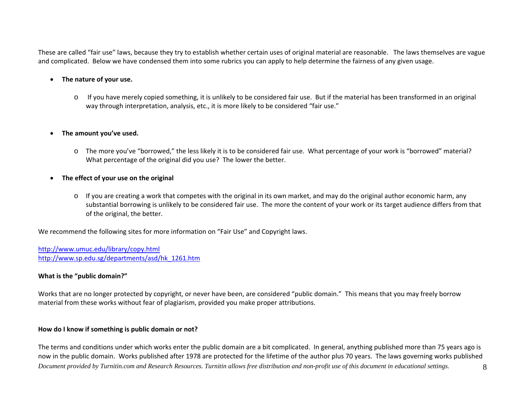These are called "fair use" laws, because they try to establish whether certain uses of original material are reasonable. The laws themselves are vague and complicated. Below we have condensed them into some rubrics you can apply to help determine the fairness of any given usage.

#### **The nature of your use.**

o If you have merely copied something, it is unlikely to be considered fair use. But if the material has been transformed in an original way through interpretation, analysis, etc., it is more likely to be considered "fair use."

#### 0 **The amount you've used.**

o The more you've "borrowed," the less likely it is to be considered fair use. What percentage of your work is "borrowed" material? What percentage of the original did you use? The lower the better.

#### **The effect of your use on the original**

o If you are creating <sup>a</sup> work that competes with the original in its own market, and may do the original author economic harm, any substantial borrowing is unlikely to be considered fair use. The more the content of your work or its target audience differs from that of the original, the better.

We recommend the following sites for more information on "Fair Use" and Copyright laws.

http://www.umuc.edu/library/copy.html http://www.sp.edu.sg/departments/asd/hk\_1261.htm

#### **What is the "public domain?"**

Works that are no longer protected by copyright, or never have been, are considered "public domain." This means that you may freely borrow material from these works without fear of plagiarism, provided you make proper attributions.

#### **How do I know if something is public domain or not?**

*Document provided by Turnitin.com and Research Resources. Turnitin allows free distribution and non-profit use of this document in educational settings.* 8The terms and conditions under which works enter the public domain are <sup>a</sup> bit complicated. In general, anything published more than 75 years ago is now in the public domain. Works published after 1978 are protected for the lifetime of the author plus 70 years. The laws governing works published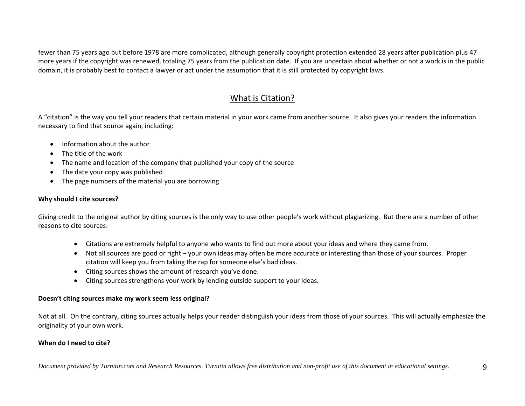fewer than 75 years ago but before 1978 are more complicated, although generally copyright protection extended 28 years after publication plus 47 more years if the copyright was renewed, totaling 75 years from the publication date. If you are uncertain about whether or not <sup>a</sup> work is in the public domain, it is probably best to contact <sup>a</sup> lawyer or act under the assumption that it is still protected by copyright laws.

# What is Citation?

A "citation" is the way you tell your readers that certain material in your work came from another source. It also gives your readers the information necessary to find that source again, including:

- **•** Information about the author
- The title of the work
- The name and location of the company that published your copy of the source
- The date your copy was published
- The page numbers of the material you are borrowing

## **Why should I cite sources?**

Giving credit to the original author by citing sources is the only way to use other people's work without plagiarizing. But there are <sup>a</sup> number of other reasons to cite sources:

- Citations are extremely helpful to anyone who wants to find out more about your ideas and where they came from.
- Not all sources are good or right your own ideas may often be more accurate or interesting than those of your sources. Proper citation will keep you from taking the rap for someone else's bad ideas.
- Citing sources shows the amount of research you've done.
- Citing sources strengthens your work by lending outside support to your ideas.

## **Doesn't citing sources make my work seem less original?**

Not at all. On the contrary, citing sources actually helps your reader distinguish your ideas from those of your sources. This will actually emphasize the originality of your own work.

## **When do I need to cite?**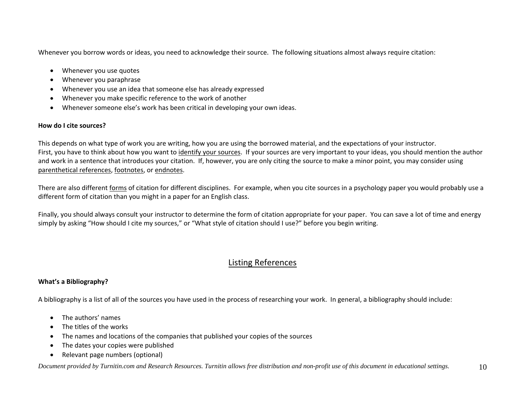Whenever you borrow words or ideas, you need to acknowledge their source. The following situations almost always require citation:

- Whenever you use quotes
- Whenever you paraphrase
- Whenever you use an idea that someone else has already expressed
- 0 Whenever you make specific reference to the work of another
- Whenever someone else's work has been critical in developing your own ideas.

## **How do I cite sources?**

This depends on what type of work you are writing, how you are using the borrowed material, and the expectations of your instructor. First, you have to think about how you want to identify your sources. If your sources are very important to your ideas, you should mention the author and work in <sup>a</sup> sentence that introduces your citation. If, however, you are only citing the source to make <sup>a</sup> minor point, you may consider using parenthetical references, footnotes, or endnotes.

There are also different forms of citation for different disciplines. For example, when you cite sources in a psychology paper you would probably use a different form of citation than you might in <sup>a</sup> paper for an English class.

Finally, you should always consult your instructor to determine the form of citation appropriate for your paper. You can save <sup>a</sup> lot of time and energy simply by asking "How should I cite my sources," or "What style of citation should I use?" before you begin writing.

# Listing References

## **What's a Bibliography?**

A bibliography is <sup>a</sup> list of all of the sources you have used in the process of researching your work. In general, <sup>a</sup> bibliography should include:

- The authors' names
- The titles of the works
- The names and locations of the companies that published your copies of the sources
- The dates your copies were published
- $\bullet$ Relevant page numbers (optional)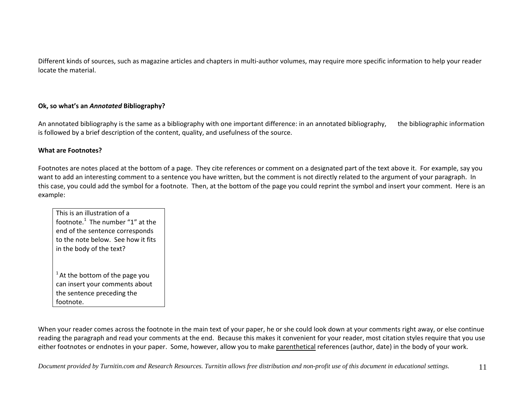Different kinds of sources, such as magazine articles and chapters in multi‐author volumes, may require more specific information to help your reader locate the material.

## **Ok, so what's an** *Annotated* **Bibliography?**

An annotated bibliography is the same as <sup>a</sup> bibliography with one important difference: in an annotated bibliography, the bibliographic information is followed by <sup>a</sup> brief description of the content, quality, and usefulness of the source.

## **What are Footnotes?**

Footnotes are notes placed at the bottom of <sup>a</sup> page. They cite references or comment on <sup>a</sup> designated part of the text above it. For example, say you want to add an interesting comment to <sup>a</sup> sentence you have written, but the comment is not directly related to the argument of your paragraph. In this case, you could add the symbol for <sup>a</sup> footnote. Then, at the bottom of the page you could reprint the symbol and insert your comment. Here is an example:

This is an illustration of <sup>a</sup> footnote. $^1$  The number "1" at the end of the sentence corresponds to the note below. See how it fits in the body of the text?

 $^1$  At the bottom of the page you can insert your comments about the sentence preceding the footnote.

When your reader comes across the footnote in the main text of your paper, he or she could look down at your comments right away, or else continue reading the paragraph and read your comments at the end. Because this makes it convenient for your reader, most citation styles require that you use either footnotes or endnotes in your paper. Some, however, allow you to make <u>parenthetical</u> references (author, date) in the body of your work.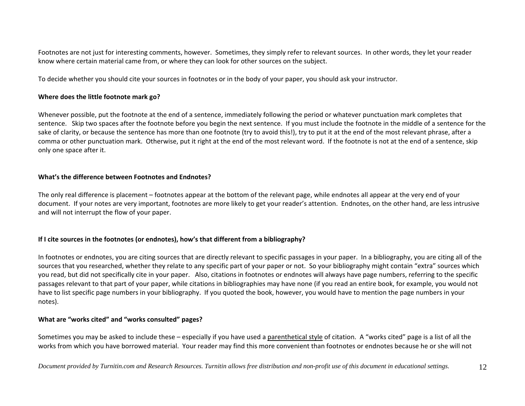Footnotes are not just for interesting comments, however. Sometimes, they simply refer to relevant sources. In other words, they let your reader know where certain material came from, or where they can look for other sources on the subject.

To decide whether you should cite your sources in footnotes or in the body of your paper, you should ask your instructor.

#### **Where does the little footnote mark go?**

Whenever possible, put the footnote at the end of <sup>a</sup> sentence, immediately following the period or whatever punctuation mark completes that sentence. Skip two spaces after the footnote before you begin the next sentence. If you must include the footnote in the middle of <sup>a</sup> sentence for the sake of clarity, or because the sentence has more than one footnote (try to avoid this!), try to put it at the end of the most relevant phrase, after <sup>a</sup> comma or other punctuation mark. Otherwise, put it right at the end of the most relevant word. If the footnote is not at the end of <sup>a</sup> sentence, skip only one space after it.

## **What's the difference between Footnotes and Endnotes?**

The only real difference is placement – footnotes appear at the bottom of the relevant page, while endnotes all appear at the very end of your document. If your notes are very important, footnotes are more likely to get your reader's attention. Endnotes, on the other hand, are less intrusive and will not interrupt the flow of your paper.

#### **If I cite sources in the footnotes (or endnotes), how's that different from <sup>a</sup> bibliography?**

In footnotes or endnotes, you are citing sources that are directly relevant to specific passages in your paper. In <sup>a</sup> bibliography, you are citing all of the sources that you researched, whether they relate to any specific part of your paper or not. So your bibliography might contain "extra" sources which you read, but did not specifically cite in your paper. Also, citations in footnotes or endnotes will always have page numbers, referring to the specific passages relevant to that part of your paper, while citations in bibliographies may have none (if you read an entire book, for example, you would not have to list specific page numbers in your bibliography. If you quoted the book, however, you would have to mention the page numbers in your notes).

#### **What are "works cited" and "works consulted" pages?**

Sometimes you may be asked to include these – especially if you have used a <u>parenthetical style</u> of citation. A "works cited" page is a list of all the works from which you have borrowed material. Your reader may find this more convenient than footnotes or endnotes because he or she will not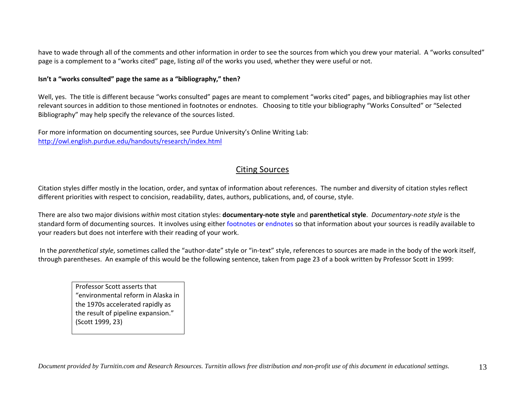have to wade through all of the comments and other information in order to see the sources from which you drew your material. A "works consulted" page is <sup>a</sup> complement to <sup>a</sup> "works cited" page, listing *all* of the works you used, whether they were useful or not.

#### **Isn't a "works consulted" page the same as <sup>a</sup> "bibliography," then?**

Well, yes. The title is different because "works consulted" pages are meant to complement "works cited" pages, and bibliographies may list other relevant sources in addition to those mentioned in footnotes or endnotes. Choosing to title your bibliography "Works Consulted" or "Selected Bibliography" may help specify the relevance of the sources listed.

For more information on documenting sources, see Purdue University's Online Writing Lab: http://owl.english.purdue.edu/handouts/research/index.html

# Citing Sources

Citation styles differ mostly in the location, order, and syntax of information about references. The number and diversity of citation styles reflect different priorities with respect to concision, readability, dates, authors, publications, and, of course, style.

There are also two major divisions *within* most citation styles: **documentary‐note style** and **parenthetical style**. *Documentary‐note style* is the standard form of documenting sources. It involves using either footnotes or endnotes so that information about your sources is readily available to your readers but does not interfere with their reading of your work.

In the *parenthetical style*, sometimes called the "author‐date" style or "in‐text" style, references to sources are made in the body of the work itself, through parentheses. An example of this would be the following sentence, taken from page 23 of <sup>a</sup> book written by Professor Scott in 1999:

Professor Scott asserts that "environmental reform in Alaska in the 1970s accelerated rapidly as the result of pipeline expansion." (Scott 1999, 23)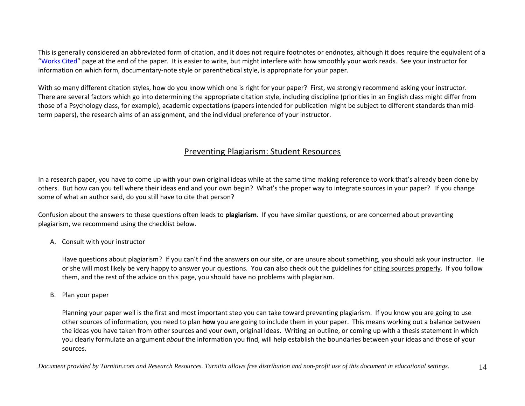This is generally considered an abbreviated form of citation, and it does not require footnotes or endnotes, although it does require the equivalent of <sup>a</sup> "Works Cited" page at the end of the paper. It is easier to write, but might interfere with how smoothly your work reads. See your instructor for information on which form, documentary‐note style or parenthetical style, is appropriate for your paper.

With so many different citation styles, how do you know which one is right for your paper? First, we strongly recommend asking your instructor. There are several factors which go into determining the appropriate citation style, including discipline (priorities in an English class might differ from those of <sup>a</sup> Psychology class, for example), academic expectations (papers intended for publication might be subject to different standards than mid‐ term papers), the research aims of an assignment, and the individual preference of your instructor.

## Preventing Plagiarism: Student Resources

In <sup>a</sup> research paper, you have to come up with your own original ideas while at the same time making reference to work that's already been done by others. But how can you tell where their ideas end and your own begin? What's the proper way to integrate sources in your paper? If you change some of what an author said, do you still have to cite that person?

Confusion about the answers to these questions often leads to **plagiarism**. If you have similar questions, or are concerned about preventing plagiarism, we recommend using the checklist below.

## A. Consult with your instructor

Have questions about plagiarism? If you can't find the answers on our site, or are unsure about something, you should ask your instructor. He or she will most likely be very happy to answer your questions. You can also check out the guidelines for citing sources properly. If you follow them, and the rest of the advice on this page, you should have no problems with plagiarism.

#### B. Plan your paper

Planning your paper well is the first and most important step you can take toward preventing plagiarism. If you know you are going to use other sources of information, you need to plan **how** you are going to include them in your paper. This means working out <sup>a</sup> balance between the ideas you have taken from other sources and your own, original ideas. Writing an outline, or coming up with <sup>a</sup> thesis statement in which you clearly formulate an argument *about* the information you find, will help establish the boundaries between your ideas and those of your sources.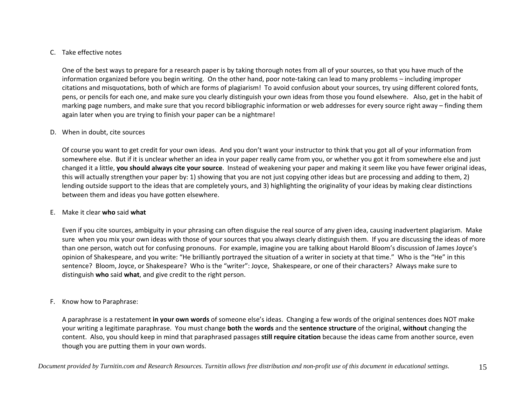## C. Take effective notes

One of the best ways to prepare for <sup>a</sup> research paper is by taking thorough notes from all of your sources, so that you have much of the information organized before you begin writing. On the other hand, poor note‐taking can lead to many problems – including improper citations and misquotations, both of which are forms of plagiarism! To avoid confusion about your sources, try using different colored fonts, pens, or pencils for each one, and make sure you clearly distinguish your own ideas from those you found elsewhere. Also, get in the habit of marking page numbers, and make sure that you record bibliographic information or web addresses for every source right away – finding them again later when you are trying to finish your paper can be <sup>a</sup> nightmare!

## D. When in doubt, cite sources

Of course you want to get credit for your own ideas. And you don't want your instructor to think that you got all of your information from somewhere else. But if it is unclear whether an idea in your paper really came from you, or whether you got it from somewhere else and just changed it <sup>a</sup> little, **you should always cite your source**. Instead of weakening your paper and making it seem like you have fewer original ideas, this will actually strengthen your paper by: 1) showing that you are not just copying other ideas but are processing and adding to them, 2) lending outside support to the ideas that are completely yours, and 3) highlighting the originality of your ideas by making clear distinctions between them and ideas you have gotten elsewhere.

#### E. Make it clear **who** said **what**

Even if you cite sources, ambiguity in your phrasing can often disguise the real source of any given idea, causing inadvertent plagiarism. Make sure when you mix your own ideas with those of your sources that you always clearly distinguish them. If you are discussing the ideas of more than one person, watch out for confusing pronouns. For example, imagine you are talking about Harold Bloom's discussion of James Joyce's opinion of Shakespeare, and you write: "He brilliantly portrayed the situation of <sup>a</sup> writer in society at that time." Who is the "He" in this sentence? Bloom, Joyce, or Shakespeare? Who is the "writer": Joyce, Shakespeare, or one of their characters? Always make sure to distinguish **who** said **what**, and give credit to the right person.

## F. Know how to Paraphrase:

A paraphrase is <sup>a</sup> restatement **in your own words** of someone else's ideas. Changing <sup>a</sup> few words of the original sentences does NOT make your writing <sup>a</sup> legitimate paraphrase. You must change **both** the **words** and the **sentence structure** of the original, **without** changing the content. Also, you should keep in mind that paraphrased passages **still require citation** because the ideas came from another source, even though you are putting them in your own words.